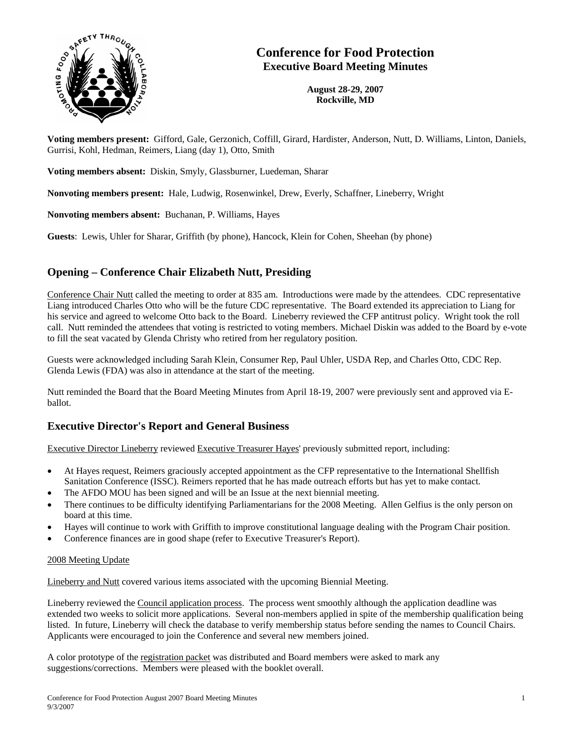

# **Conference for Food Protection Executive Board Meeting Minutes**

**August 28-29, 2007 Rockville, MD** 

**Voting members present:** Gifford, Gale, Gerzonich, Coffill, Girard, Hardister, Anderson, Nutt, D. Williams, Linton, Daniels, Gurrisi, Kohl, Hedman, Reimers, Liang (day 1), Otto, Smith

**Voting members absent:** Diskin, Smyly, Glassburner, Luedeman, Sharar

**Nonvoting members present:** Hale, Ludwig, Rosenwinkel, Drew, Everly, Schaffner, Lineberry, Wright

**Nonvoting members absent:** Buchanan, P. Williams, Hayes

**Guests**: Lewis, Uhler for Sharar, Griffith (by phone), Hancock, Klein for Cohen, Sheehan (by phone)

## **Opening – Conference Chair Elizabeth Nutt, Presiding**

Conference Chair Nutt called the meeting to order at 835 am. Introductions were made by the attendees. CDC representative Liang introduced Charles Otto who will be the future CDC representative. The Board extended its appreciation to Liang for his service and agreed to welcome Otto back to the Board. Lineberry reviewed the CFP antitrust policy. Wright took the roll call. Nutt reminded the attendees that voting is restricted to voting members. Michael Diskin was added to the Board by e-vote to fill the seat vacated by Glenda Christy who retired from her regulatory position.

Guests were acknowledged including Sarah Klein, Consumer Rep, Paul Uhler, USDA Rep, and Charles Otto, CDC Rep. Glenda Lewis (FDA) was also in attendance at the start of the meeting.

Nutt reminded the Board that the Board Meeting Minutes from April 18-19, 2007 were previously sent and approved via Eballot.

### **Executive Director's Report and General Business**

Executive Director Lineberry reviewed Executive Treasurer Hayes' previously submitted report, including:

- At Hayes request, Reimers graciously accepted appointment as the CFP representative to the International Shellfish Sanitation Conference (ISSC). Reimers reported that he has made outreach efforts but has yet to make contact.
- The AFDO MOU has been signed and will be an Issue at the next biennial meeting.
- There continues to be difficulty identifying Parliamentarians for the 2008 Meeting. Allen Gelfius is the only person on board at this time.
- Hayes will continue to work with Griffith to improve constitutional language dealing with the Program Chair position.
- Conference finances are in good shape (refer to Executive Treasurer's Report).

### 2008 Meeting Update

Lineberry and Nutt covered various items associated with the upcoming Biennial Meeting.

Lineberry reviewed the Council application process. The process went smoothly although the application deadline was extended two weeks to solicit more applications. Several non-members applied in spite of the membership qualification being listed. In future, Lineberry will check the database to verify membership status before sending the names to Council Chairs. Applicants were encouraged to join the Conference and several new members joined.

A color prototype of the registration packet was distributed and Board members were asked to mark any suggestions/corrections. Members were pleased with the booklet overall.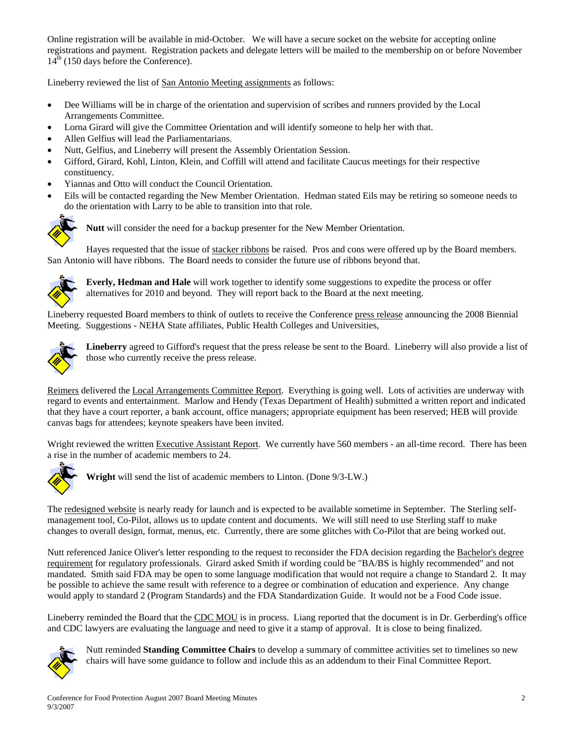Online registration will be available in mid-October. We will have a secure socket on the website for accepting online registrations and payment. Registration packets and delegate letters will be mailed to the membership on or before November  $14<sup>th</sup>$  (150 days before the Conference).

Lineberry reviewed the list of San Antonio Meeting assignments as follows:

- Dee Williams will be in charge of the orientation and supervision of scribes and runners provided by the Local Arrangements Committee.
- Lorna Girard will give the Committee Orientation and will identify someone to help her with that.
- Allen Gelfius will lead the Parliamentarians.
- Nutt, Gelfius, and Lineberry will present the Assembly Orientation Session.
- Gifford, Girard, Kohl, Linton, Klein, and Coffill will attend and facilitate Caucus meetings for their respective constituency.
- Yiannas and Otto will conduct the Council Orientation.
- Eils will be contacted regarding the New Member Orientation. Hedman stated Eils may be retiring so someone needs to do the orientation with Larry to be able to transition into that role.



**Nutt** will consider the need for a backup presenter for the New Member Orientation.

Hayes requested that the issue of stacker ribbons be raised. Pros and cons were offered up by the Board members. San Antonio will have ribbons. The Board needs to consider the future use of ribbons beyond that.



**Everly, Hedman and Hale** will work together to identify some suggestions to expedite the process or offer alternatives for 2010 and beyond. They will report back to the Board at the next meeting.

Lineberry requested Board members to think of outlets to receive the Conference press release announcing the 2008 Biennial Meeting. Suggestions - NEHA State affiliates, Public Health Colleges and Universities,



**Lineberry** agreed to Gifford's request that the press release be sent to the Board. Lineberry will also provide a list of those who currently receive the press release.

Reimers delivered the Local Arrangements Committee Report. Everything is going well. Lots of activities are underway with regard to events and entertainment. Marlow and Hendy (Texas Department of Health) submitted a written report and indicated that they have a court reporter, a bank account, office managers; appropriate equipment has been reserved; HEB will provide canvas bags for attendees; keynote speakers have been invited.

Wright reviewed the written Executive Assistant Report. We currently have 560 members - an all-time record. There has been a rise in the number of academic members to 24.



**Wright** will send the list of academic members to Linton. (Done 9/3-LW.)

The redesigned website is nearly ready for launch and is expected to be available sometime in September. The Sterling selfmanagement tool, Co-Pilot, allows us to update content and documents. We will still need to use Sterling staff to make changes to overall design, format, menus, etc. Currently, there are some glitches with Co-Pilot that are being worked out.

Nutt referenced Janice Oliver's letter responding to the request to reconsider the FDA decision regarding the Bachelor's degree requirement for regulatory professionals. Girard asked Smith if wording could be "BA/BS is highly recommended" and not mandated. Smith said FDA may be open to some language modification that would not require a change to Standard 2. It may be possible to achieve the same result with reference to a degree or combination of education and experience. Any change would apply to standard 2 (Program Standards) and the FDA Standardization Guide. It would not be a Food Code issue.

Lineberry reminded the Board that the CDC MOU is in process. Liang reported that the document is in Dr. Gerberding's office and CDC lawyers are evaluating the language and need to give it a stamp of approval. It is close to being finalized.



Nutt reminded **Standing Committee Chairs** to develop a summary of committee activities set to timelines so new chairs will have some guidance to follow and include this as an addendum to their Final Committee Report.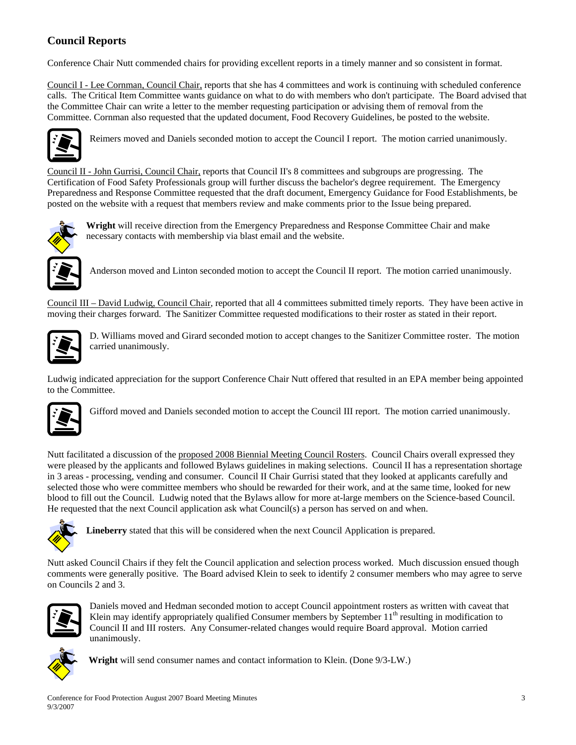# **Council Reports**

Conference Chair Nutt commended chairs for providing excellent reports in a timely manner and so consistent in format.

Council I - Lee Cornman, Council Chair, reports that she has 4 committees and work is continuing with scheduled conference calls. The Critical Item Committee wants guidance on what to do with members who don't participate. The Board advised that the Committee Chair can write a letter to the member requesting participation or advising them of removal from the Committee. Cornman also requested that the updated document, Food Recovery Guidelines, be posted to the website.



Reimers moved and Daniels seconded motion to accept the Council I report. The motion carried unanimously.

Council II - John Gurrisi, Council Chair, reports that Council II's 8 committees and subgroups are progressing. The Certification of Food Safety Professionals group will further discuss the bachelor's degree requirement. The Emergency Preparedness and Response Committee requested that the draft document, Emergency Guidance for Food Establishments, be posted on the website with a request that members review and make comments prior to the Issue being prepared.



**Wright** will receive direction from the Emergency Preparedness and Response Committee Chair and make necessary contacts with membership via blast email and the website.



Anderson moved and Linton seconded motion to accept the Council II report. The motion carried unanimously.

Council III – David Ludwig, Council Chair, reported that all 4 committees submitted timely reports. They have been active in moving their charges forward. The Sanitizer Committee requested modifications to their roster as stated in their report.



D. Williams moved and Girard seconded motion to accept changes to the Sanitizer Committee roster. The motion carried unanimously.

Ludwig indicated appreciation for the support Conference Chair Nutt offered that resulted in an EPA member being appointed to the Committee.



Gifford moved and Daniels seconded motion to accept the Council III report. The motion carried unanimously.

Nutt facilitated a discussion of the proposed 2008 Biennial Meeting Council Rosters. Council Chairs overall expressed they were pleased by the applicants and followed Bylaws guidelines in making selections. Council II has a representation shortage in 3 areas - processing, vending and consumer. Council II Chair Gurrisi stated that they looked at applicants carefully and selected those who were committee members who should be rewarded for their work, and at the same time, looked for new blood to fill out the Council. Ludwig noted that the Bylaws allow for more at-large members on the Science-based Council. He requested that the next Council application ask what Council(s) a person has served on and when.



**Lineberry** stated that this will be considered when the next Council Application is prepared.

Nutt asked Council Chairs if they felt the Council application and selection process worked. Much discussion ensued though comments were generally positive. The Board advised Klein to seek to identify 2 consumer members who may agree to serve on Councils 2 and 3.



Daniels moved and Hedman seconded motion to accept Council appointment rosters as written with caveat that Klein may identify appropriately qualified Consumer members by September  $11<sup>th</sup>$  resulting in modification to Council II and III rosters. Any Consumer-related changes would require Board approval. Motion carried unanimously.



**Wright** will send consumer names and contact information to Klein. (Done 9/3-LW.)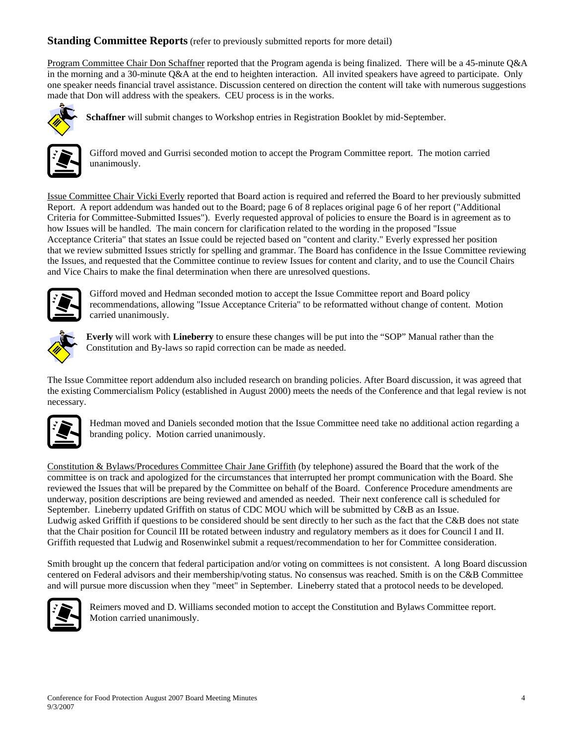### **Standing Committee Reports** (refer to previously submitted reports for more detail)

Program Committee Chair Don Schaffner reported that the Program agenda is being finalized. There will be a 45-minute Q&A in the morning and a 30-minute Q&A at the end to heighten interaction. All invited speakers have agreed to participate. Only one speaker needs financial travel assistance. Discussion centered on direction the content will take with numerous suggestions made that Don will address with the speakers. CEU process is in the works.



**Schaffner** will submit changes to Workshop entries in Registration Booklet by mid-September.



Gifford moved and Gurrisi seconded motion to accept the Program Committee report. The motion carried unanimously.

Issue Committee Chair Vicki Everly reported that Board action is required and referred the Board to her previously submitted Report. A report addendum was handed out to the Board; page 6 of 8 replaces original page 6 of her report ("Additional Criteria for Committee-Submitted Issues"). Everly requested approval of policies to ensure the Board is in agreement as to how Issues will be handled. The main concern for clarification related to the wording in the proposed "Issue Acceptance Criteria" that states an Issue could be rejected based on "content and clarity." Everly expressed her position that we review submitted Issues strictly for spelling and grammar. The Board has confidence in the Issue Committee reviewing the Issues, and requested that the Committee continue to review Issues for content and clarity, and to use the Council Chairs and Vice Chairs to make the final determination when there are unresolved questions.



Gifford moved and Hedman seconded motion to accept the Issue Committee report and Board policy recommendations, allowing "Issue Acceptance Criteria" to be reformatted without change of content. Motion carried unanimously.



**Everly** will work with **Lineberry** to ensure these changes will be put into the "SOP" Manual rather than the Constitution and By-laws so rapid correction can be made as needed.

The Issue Committee report addendum also included research on branding policies. After Board discussion, it was agreed that the existing Commercialism Policy (established in August 2000) meets the needs of the Conference and that legal review is not necessary.



Hedman moved and Daniels seconded motion that the Issue Committee need take no additional action regarding a branding policy. Motion carried unanimously.

Constitution & Bylaws/Procedures Committee Chair Jane Griffith (by telephone) assured the Board that the work of the committee is on track and apologized for the circumstances that interrupted her prompt communication with the Board. She reviewed the Issues that will be prepared by the Committee on behalf of the Board. Conference Procedure amendments are underway, position descriptions are being reviewed and amended as needed. Their next conference call is scheduled for September. Lineberry updated Griffith on status of CDC MOU which will be submitted by C&B as an Issue. Ludwig asked Griffith if questions to be considered should be sent directly to her such as the fact that the C&B does not state that the Chair position for Council III be rotated between industry and regulatory members as it does for Council I and II. Griffith requested that Ludwig and Rosenwinkel submit a request/recommendation to her for Committee consideration.

Smith brought up the concern that federal participation and/or voting on committees is not consistent. A long Board discussion centered on Federal advisors and their membership/voting status. No consensus was reached. Smith is on the C&B Committee and will pursue more discussion when they "meet" in September. Lineberry stated that a protocol needs to be developed.



Reimers moved and D. Williams seconded motion to accept the Constitution and Bylaws Committee report. Motion carried unanimously.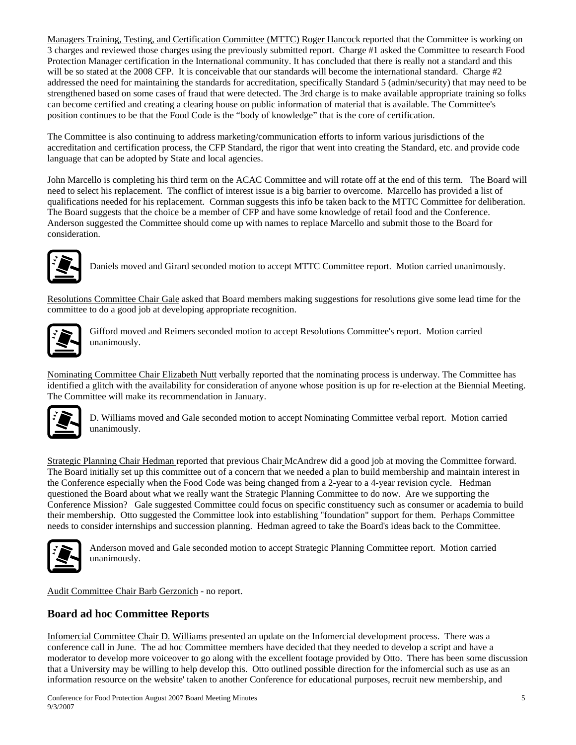Managers Training, Testing, and Certification Committee (MTTC) Roger Hancock reported that the Committee is working on 3 charges and reviewed those charges using the previously submitted report. Charge #1 asked the Committee to research Food Protection Manager certification in the International community. It has concluded that there is really not a standard and this will be so stated at the 2008 CFP. It is conceivable that our standards will become the international standard. Charge #2 addressed the need for maintaining the standards for accreditation, specifically Standard 5 (admin/security) that may need to be strengthened based on some cases of fraud that were detected. The 3rd charge is to make available appropriate training so folks can become certified and creating a clearing house on public information of material that is available. The Committee's position continues to be that the Food Code is the "body of knowledge" that is the core of certification.

The Committee is also continuing to address marketing/communication efforts to inform various jurisdictions of the accreditation and certification process, the CFP Standard, the rigor that went into creating the Standard, etc. and provide code language that can be adopted by State and local agencies.

John Marcello is completing his third term on the ACAC Committee and will rotate off at the end of this term. The Board will need to select his replacement. The conflict of interest issue is a big barrier to overcome. Marcello has provided a list of qualifications needed for his replacement. Cornman suggests this info be taken back to the MTTC Committee for deliberation. The Board suggests that the choice be a member of CFP and have some knowledge of retail food and the Conference. Anderson suggested the Committee should come up with names to replace Marcello and submit those to the Board for consideration.



Daniels moved and Girard seconded motion to accept MTTC Committee report. Motion carried unanimously.

Resolutions Committee Chair Gale asked that Board members making suggestions for resolutions give some lead time for the committee to do a good job at developing appropriate recognition.



Gifford moved and Reimers seconded motion to accept Resolutions Committee's report. Motion carried unanimously.

Nominating Committee Chair Elizabeth Nutt verbally reported that the nominating process is underway. The Committee has identified a glitch with the availability for consideration of anyone whose position is up for re-election at the Biennial Meeting. The Committee will make its recommendation in January.



D. Williams moved and Gale seconded motion to accept Nominating Committee verbal report. Motion carried unanimously.

Strategic Planning Chair Hedman reported that previous Chair McAndrew did a good job at moving the Committee forward. The Board initially set up this committee out of a concern that we needed a plan to build membership and maintain interest in the Conference especially when the Food Code was being changed from a 2-year to a 4-year revision cycle. Hedman questioned the Board about what we really want the Strategic Planning Committee to do now. Are we supporting the Conference Mission? Gale suggested Committee could focus on specific constituency such as consumer or academia to build their membership. Otto suggested the Committee look into establishing "foundation" support for them. Perhaps Committee needs to consider internships and succession planning. Hedman agreed to take the Board's ideas back to the Committee.



Anderson moved and Gale seconded motion to accept Strategic Planning Committee report. Motion carried unanimously.

Audit Committee Chair Barb Gerzonich - no report.

## **Board ad hoc Committee Reports**

Infomercial Committee Chair D. Williams presented an update on the Infomercial development process. There was a conference call in June. The ad hoc Committee members have decided that they needed to develop a script and have a moderator to develop more voiceover to go along with the excellent footage provided by Otto. There has been some discussion that a University may be willing to help develop this. Otto outlined possible direction for the infomercial such as use as an information resource on the website' taken to another Conference for educational purposes, recruit new membership, and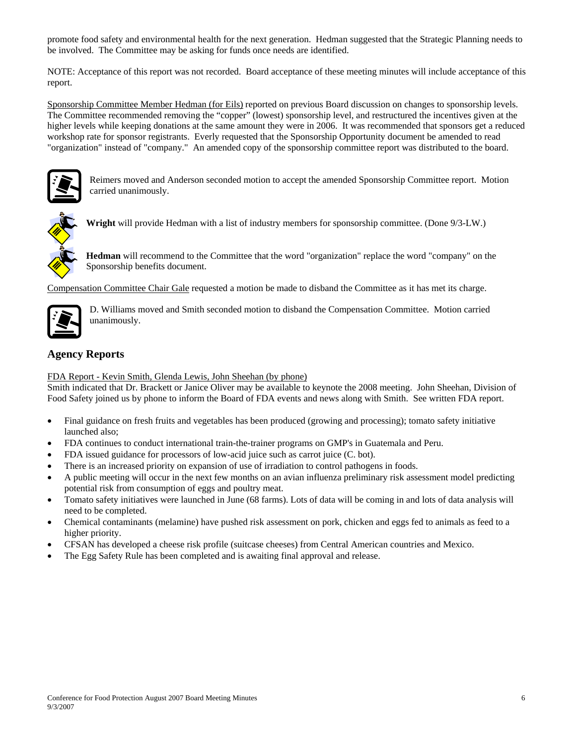promote food safety and environmental health for the next generation. Hedman suggested that the Strategic Planning needs to be involved. The Committee may be asking for funds once needs are identified.

NOTE: Acceptance of this report was not recorded. Board acceptance of these meeting minutes will include acceptance of this report.

Sponsorship Committee Member Hedman (for Eils) reported on previous Board discussion on changes to sponsorship levels. The Committee recommended removing the "copper" (lowest) sponsorship level, and restructured the incentives given at the higher levels while keeping donations at the same amount they were in 2006. It was recommended that sponsors get a reduced workshop rate for sponsor registrants. Everly requested that the Sponsorship Opportunity document be amended to read "organization" instead of "company." An amended copy of the sponsorship committee report was distributed to the board.



Reimers moved and Anderson seconded motion to accept the amended Sponsorship Committee report. Motion carried unanimously.



**Wright** will provide Hedman with a list of industry members for sponsorship committee. (Done 9/3-LW.)

**Hedman** will recommend to the Committee that the word "organization" replace the word "company" on the Sponsorship benefits document.

Compensation Committee Chair Gale requested a motion be made to disband the Committee as it has met its charge.



D. Williams moved and Smith seconded motion to disband the Compensation Committee. Motion carried unanimously.

# **Agency Reports**

FDA Report - Kevin Smith, Glenda Lewis, John Sheehan (by phone)

Smith indicated that Dr. Brackett or Janice Oliver may be available to keynote the 2008 meeting. John Sheehan, Division of Food Safety joined us by phone to inform the Board of FDA events and news along with Smith. See written FDA report.

- Final guidance on fresh fruits and vegetables has been produced (growing and processing); tomato safety initiative launched also;
- FDA continues to conduct international train-the-trainer programs on GMP's in Guatemala and Peru.
- FDA issued guidance for processors of low-acid juice such as carrot juice (C. bot).
- There is an increased priority on expansion of use of irradiation to control pathogens in foods.
- A public meeting will occur in the next few months on an avian influenza preliminary risk assessment model predicting potential risk from consumption of eggs and poultry meat.
- Tomato safety initiatives were launched in June (68 farms). Lots of data will be coming in and lots of data analysis will need to be completed.
- Chemical contaminants (melamine) have pushed risk assessment on pork, chicken and eggs fed to animals as feed to a higher priority.
- CFSAN has developed a cheese risk profile (suitcase cheeses) from Central American countries and Mexico.
- The Egg Safety Rule has been completed and is awaiting final approval and release.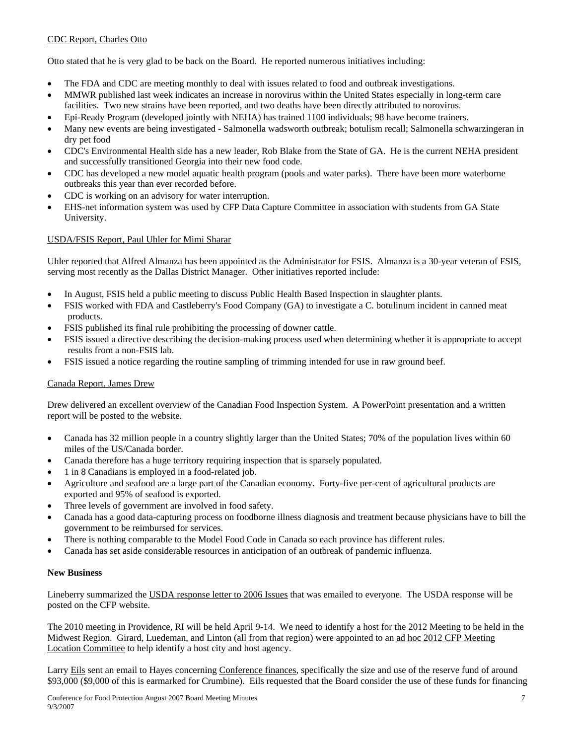### CDC Report, Charles Otto

Otto stated that he is very glad to be back on the Board. He reported numerous initiatives including:

- The FDA and CDC are meeting monthly to deal with issues related to food and outbreak investigations.
- MMWR published last week indicates an increase in norovirus within the United States especially in long-term care facilities. Two new strains have been reported, and two deaths have been directly attributed to norovirus.
- Epi-Ready Program (developed jointly with NEHA) has trained 1100 individuals; 98 have become trainers.
- Many new events are being investigated Salmonella wadsworth outbreak; botulism recall; Salmonella schwarzingeran in dry pet food
- CDC's Environmental Health side has a new leader, Rob Blake from the State of GA. He is the current NEHA president and successfully transitioned Georgia into their new food code.
- CDC has developed a new model aquatic health program (pools and water parks). There have been more waterborne outbreaks this year than ever recorded before.
- CDC is working on an advisory for water interruption.
- EHS-net information system was used by CFP Data Capture Committee in association with students from GA State University.

### USDA/FSIS Report, Paul Uhler for Mimi Sharar

Uhler reported that Alfred Almanza has been appointed as the Administrator for FSIS. Almanza is a 30-year veteran of FSIS, serving most recently as the Dallas District Manager. Other initiatives reported include:

- In August, FSIS held a public meeting to discuss Public Health Based Inspection in slaughter plants.
- FSIS worked with FDA and Castleberry's Food Company (GA) to investigate a C. botulinum incident in canned meat products.
- FSIS published its final rule prohibiting the processing of downer cattle.
- FSIS issued a directive describing the decision-making process used when determining whether it is appropriate to accept results from a non-FSIS lab.
- FSIS issued a notice regarding the routine sampling of trimming intended for use in raw ground beef.

### Canada Report, James Drew

Drew delivered an excellent overview of the Canadian Food Inspection System. A PowerPoint presentation and a written report will be posted to the website.

- Canada has 32 million people in a country slightly larger than the United States; 70% of the population lives within 60 miles of the US/Canada border.
- Canada therefore has a huge territory requiring inspection that is sparsely populated.
- 1 in 8 Canadians is employed in a food-related job.
- Agriculture and seafood are a large part of the Canadian economy. Forty-five per-cent of agricultural products are exported and 95% of seafood is exported.
- Three levels of government are involved in food safety.
- Canada has a good data-capturing process on foodborne illness diagnosis and treatment because physicians have to bill the government to be reimbursed for services.
- There is nothing comparable to the Model Food Code in Canada so each province has different rules.
- Canada has set aside considerable resources in anticipation of an outbreak of pandemic influenza.

### **New Business**

Lineberry summarized the USDA response letter to 2006 Issues that was emailed to everyone. The USDA response will be posted on the CFP website.

The 2010 meeting in Providence, RI will be held April 9-14. We need to identify a host for the 2012 Meeting to be held in the Midwest Region. Girard, Luedeman, and Linton (all from that region) were appointed to an ad hoc 2012 CFP Meeting Location Committee to help identify a host city and host agency.

Larry Eils sent an email to Hayes concerning Conference finances, specifically the size and use of the reserve fund of around \$93,000 (\$9,000 of this is earmarked for Crumbine). Eils requested that the Board consider the use of these funds for financing